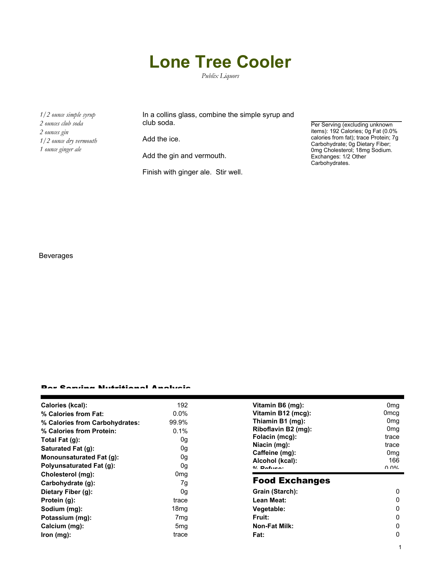## **Lone Tree Cooler**

*Publix Liquors*

*1/2 ounce simple syrup 2 ounces club soda 2 ounces gin 1/2 ounce dry vermouth 1 ounce ginger ale*

In a collins glass, combine the simple syrup and club soda.

Add the ice.

Add the gin and vermouth.

Finish with ginger ale. Stir well.

Per Serving (excluding unknown items): 192 Calories; 0g Fat (0.0% calories from fat); trace Protein; 7g Carbohydrate; 0g Dietary Fiber; 0mg Cholesterol; 18mg Sodium. Exchanges: 1/2 Other Carbohydrates.

1

Beverages

## Per Serving Nutritional Analysis

| Calories (kcal):                | 192              | Vitamin B6 (mg):      | 0 <sub>mq</sub>  |
|---------------------------------|------------------|-----------------------|------------------|
| % Calories from Fat:            | $0.0\%$          | Vitamin B12 (mcg):    | 0 <sub>mcg</sub> |
| % Calories from Carbohydrates:  | 99.9%            | Thiamin B1 (mg):      | 0 <sub>mq</sub>  |
| % Calories from Protein:        | 0.1%             | Riboflavin B2 (mg):   | 0 <sub>mg</sub>  |
| Total Fat (g):                  | 0g               | Folacin (mcg):        | trace            |
| Saturated Fat (g):              | 0g               | Niacin (mg):          | trace            |
|                                 |                  | Caffeine (mg):        | 0 <sub>mg</sub>  |
| <b>Monounsaturated Fat (g):</b> | 0g               | Alcohol (kcal):       | 166              |
| <b>Polyunsaturated Fat (g):</b> | 0g               | $0/2$ Dofuson         | በ በ%             |
| Cholesterol (mg):               | 0 <sub>mg</sub>  |                       |                  |
| Carbohydrate (g):               | 7g               | <b>Food Exchanges</b> |                  |
| Dietary Fiber (g):              | 0g               | Grain (Starch):       | $\Omega$         |
| Protein (g):                    | trace            | Lean Meat:            | 0                |
| Sodium (mg):                    | 18 <sub>mg</sub> | Vegetable:            | 0                |
| Potassium (mg):                 | 7mg              | <b>Fruit:</b>         | $\Omega$         |
| Calcium (mg):                   | 5 <sub>mg</sub>  | <b>Non-Fat Milk:</b>  | 0                |
| lron (mg):                      | trace            | Fat:                  | 0                |